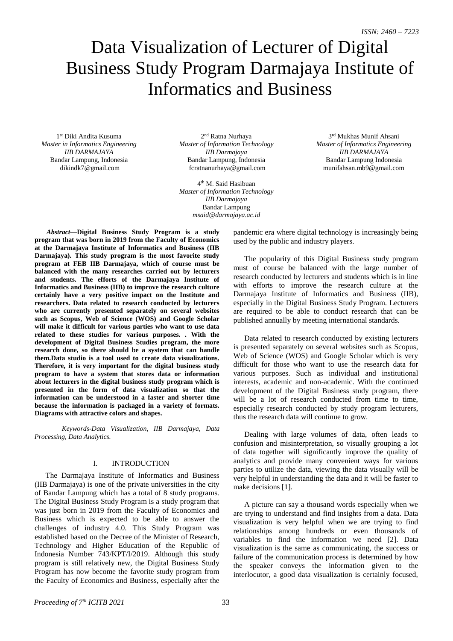# Data Visualization of Lecturer of Digital Business Study Program Darmajaya Institute of Informatics and Business

1 st Diki Andita Kusuma *Master in Informatics Engineering IIB DARMAJAYA* Bandar Lampung, Indonesia dikindk7@gmail.com

2<sup>nd</sup> Ratna Nurhaya *Master of Information Technology IIB Darmajaya*  Bandar Lampung, Indonesia fcratnanurhaya@gmail.com

4 th M. Said Hasibuan *Master of Information Technology IIB Darmajaya* Bandar Lampung *msaid@darmajaya.ac.id*

3 rd Mukhas Munif Ahsani *Master of Informatics Engineering IIB DARMAJAYA* Bandar Lampung Indonesia munifahsan.mb9@gmail.com

*Abstract***—Digital Business Study Program is a study program that was born in 2019 from the Faculty of Economics at the Darmajaya Institute of Informatics and Business (IIB Darmajaya). This study program is the most favorite study program at FEB IIB Darmajaya, which of course must be balanced with the many researches carried out by lecturers and students. The efforts of the Darmajaya Institute of Informatics and Business (IIB) to improve the research culture certainly have a very positive impact on the Institute and researchers. Data related to research conducted by lecturers who are currently presented separately on several websites such as Scopus, Web of Science (WOS) and Google Scholar will make it difficult for various parties who want to use data related to these studies for various purposes. . With the development of Digital Business Studies program, the more research done, so there should be a system that can handle them.Data studio is a tool used to create data visualizations. Therefore, it is very important for the digital business study program to have a system that stores data or information about lecturers in the digital business study program which is presented in the form of data visualization so that the information can be understood in a faster and shorter time because the information is packaged in a variety of formats. Diagrams with attractive colors and shapes.**

*Keywords-Data Visualization, IIB Darmajaya, Data Processing, Data Analytics.*

## I. INTRODUCTION

The Darmajaya Institute of Informatics and Business (IIB Darmajaya) is one of the private universities in the city of Bandar Lampung which has a total of 8 study programs. The Digital Business Study Program is a study program that was just born in 2019 from the Faculty of Economics and Business which is expected to be able to answer the challenges of industry 4.0. This Study Program was established based on the Decree of the Minister of Research, Technology and Higher Education of the Republic of Indonesia Number 743/KPT/I/2019. Although this study program is still relatively new, the Digital Business Study Program has now become the favorite study program from the Faculty of Economics and Business, especially after the

pandemic era where digital technology is increasingly being used by the public and industry players.

The popularity of this Digital Business study program must of course be balanced with the large number of research conducted by lecturers and students which is in line with efforts to improve the research culture at the Darmajaya Institute of Informatics and Business (IIB), especially in the Digital Business Study Program. Lecturers are required to be able to conduct research that can be published annually by meeting international standards.

Data related to research conducted by existing lecturers is presented separately on several websites such as Scopus, Web of Science (WOS) and Google Scholar which is very difficult for those who want to use the research data for various purposes. Such as individual and institutional interests, academic and non-academic. With the continued development of the Digital Business study program, there will be a lot of research conducted from time to time, especially research conducted by study program lecturers, thus the research data will continue to grow.

Dealing with large volumes of data, often leads to confusion and misinterpretation, so visually grouping a lot of data together will significantly improve the quality of analytics and provide many convenient ways for various parties to utilize the data, viewing the data visually will be very helpful in understanding the data and it will be faster to make decisions [1].

A picture can say a thousand words especially when we are trying to understand and find insights from a data. Data visualization is very helpful when we are trying to find relationships among hundreds or even thousands of variables to find the information we need [2]. Data visualization is the same as communicating, the success or failure of the communication process is determined by how the speaker conveys the information given to the interlocutor, a good data visualization is certainly focused,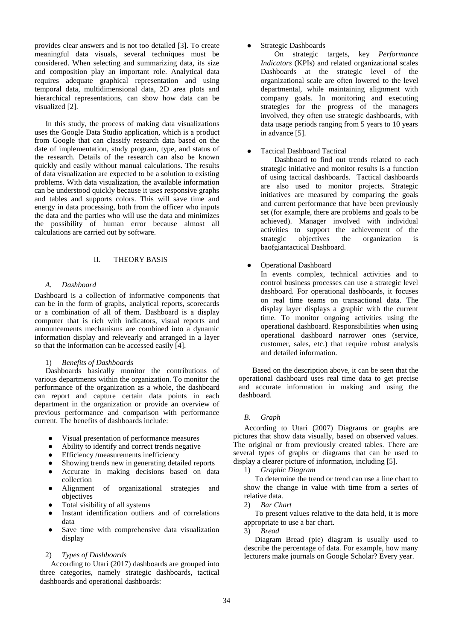provides clear answers and is not too detailed [3]. To create meaningful data visuals, several techniques must be considered. When selecting and summarizing data, its size and composition play an important role. Analytical data requires adequate graphical representation and using temporal data, multidimensional data, 2D area plots and hierarchical representations, can show how data can be visualized [2].

In this study, the process of making data visualizations uses the Google Data Studio application, which is a product from Google that can classify research data based on the date of implementation, study program, type, and status of the research. Details of the research can also be known quickly and easily without manual calculations. The results of data visualization are expected to be a solution to existing problems. With data visualization, the available information can be understood quickly because it uses responsive graphs and tables and supports colors. This will save time and energy in data processing, both from the officer who inputs the data and the parties who will use the data and minimizes the possibility of human error because almost all calculations are carried out by software.

## II. THEORY BASIS

## *A. Dashboard*

Dashboard is a collection of informative components that can be in the form of graphs, analytical reports, scorecards or a combination of all of them. Dashboard is a display computer that is rich with indicators, visual reports and announcements mechanisms are combined into a dynamic information display and relevearly and arranged in a layer so that the information can be accessed easily [4].

## 1) *Benefits of Dashboards*

Dashboards basically monitor the contributions of various departments within the organization. To monitor the performance of the organization as a whole, the dashboard can report and capture certain data points in each department in the organization or provide an overview of previous performance and comparison with performance current. The benefits of dashboards include:

- Visual presentation of performance measures
- Ability to identify and correct trends negative
- **Efficiency /measurements inefficiency**
- Showing trends new in generating detailed reports
- Accurate in making decisions based on data collection
- Alignment of organizational strategies and objectives
- Total visibility of all systems
- Instant identification outliers and of correlations data
- Save time with comprehensive data visualization display

## 2) *Types of Dashboards*

According to Utari (2017) dashboards are grouped into three categories, namely strategic dashboards, tactical dashboards and operational dashboards:

# Strategic Dashboards

On strategic targets, key *Performance Indicators* (KPIs) and related organizational scales Dashboards at the strategic level of the organizational scale are often lowered to the level departmental, while maintaining alignment with company goals. In monitoring and executing strategies for the progress of the managers involved, they often use strategic dashboards, with data usage periods ranging from 5 years to 10 years in advance [5].

**Tactical Dashboard Tactical** 

Dashboard to find out trends related to each strategic initiative and monitor results is a function of using tactical dashboards. Tactical dashboards are also used to monitor projects. Strategic initiatives are measured by comparing the goals and current performance that have been previously set (for example, there are problems and goals to be achieved). Manager involved with individual activities to support the achievement of the strategic objectives the organization is baofgiantactical Dashboard.

Operational Dashboard

In events complex, technical activities and to control business processes can use a strategic level dashboard. For operational dashboards, it focuses on real time teams on transactional data. The display layer displays a graphic with the current time. To monitor ongoing activities using the operational dashboard. Responsibilities when using operational dashboard narrower ones (service, customer, sales, etc.) that require robust analysis and detailed information.

Based on the description above, it can be seen that the operational dashboard uses real time data to get precise and accurate information in making and using the dashboard.

## *B. Graph*

According to Utari (2007) Diagrams or graphs are pictures that show data visually, based on observed values. The original or from previously created tables. There are several types of graphs or diagrams that can be used to display a clearer picture of information, including [5].

1) *Graphic Diagram*

To determine the trend or trend can use a line chart to show the change in value with time from a series of relative data.

2) *Bar Chart* 

To present values relative to the data held, it is more appropriate to use a bar chart.

3) *Bread*

Diagram Bread (pie) diagram is usually used to describe the percentage of data. For example, how many lecturers make journals on Google Scholar? Every year.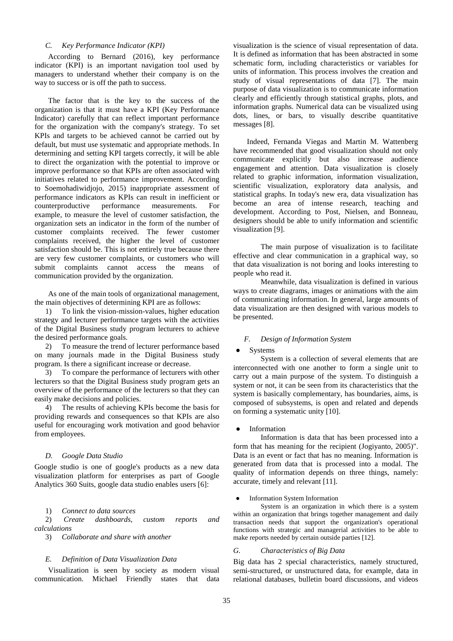## *C. Key Performance Indicator (KPI)*

According to Bernard (2016), key performance indicator (KPI) is an important navigation tool used by managers to understand whether their company is on the way to success or is off the path to success.

The factor that is the key to the success of the organization is that it must have a KPI (Key Performance Indicator) carefully that can reflect important performance for the organization with the company's strategy. To set KPIs and targets to be achieved cannot be carried out by default, but must use systematic and appropriate methods. In determining and setting KPI targets correctly, it will be able to direct the organization with the potential to improve or improve performance so that KPIs are often associated with initiatives related to performance improvement. According to Soemohadiwidjojo, 2015) inappropriate assessment of performance indicators as KPIs can result in inefficient or<br>counterproductive performance measurements. For counterproductive performance measurements. For example, to measure the level of customer satisfaction, the organization sets an indicator in the form of the number of customer complaints received. The fewer customer complaints received, the higher the level of customer satisfaction should be. This is not entirely true because there are very few customer complaints, or customers who will submit complaints cannot access the means of communication provided by the organization.

As one of the main tools of organizational management, the main objectives of determining KPI are as follows:

1) To link the vision-mission-values, higher education strategy and lecturer performance targets with the activities of the Digital Business study program lecturers to achieve the desired performance goals.

2) To measure the trend of lecturer performance based on many journals made in the Digital Business study program. Is there a significant increase or decrease.

3) To compare the performance of lecturers with other lecturers so that the Digital Business study program gets an overview of the performance of the lecturers so that they can easily make decisions and policies.

4) The results of achieving KPIs become the basis for providing rewards and consequences so that KPIs are also useful for encouraging work motivation and good behavior from employees.

## *D. Google Data Studio*

Google studio is one of google's products as a new data visualization platform for enterprises as part of Google Analytics 360 Suits, google data studio enables users [6]:

1) *Connect to data sources*

2) *Create dashboards, custom reports and calculations* 

3) *Collaborate and share with another*

#### *E. Definition of Data Visualization Data*

Visualization is seen by society as modern visual communication. Michael Friendly states that data

visualization is the science of visual representation of data. It is defined as information that has been abstracted in some schematic form, including characteristics or variables for units of information. This process involves the creation and study of visual representations of data [7]. The main purpose of data visualization is to communicate information clearly and efficiently through statistical graphs, plots, and information graphs. Numerical data can be visualized using dots, lines, or bars, to visually describe quantitative messages [8].

Indeed, Fernanda Viegas and Martin M. Wattenberg have recommended that good visualization should not only communicate explicitly but also increase audience engagement and attention. Data visualization is closely related to graphic information, information visualization, scientific visualization, exploratory data analysis, and statistical graphs. In today's new era, data visualization has become an area of intense research, teaching and development. According to Post, Nielsen, and Bonneau, designers should be able to unify information and scientific visualization [9].

The main purpose of visualization is to facilitate effective and clear communication in a graphical way, so that data visualization is not boring and looks interesting to people who read it.

Meanwhile, data visualization is defined in various ways to create diagrams, images or animations with the aim of communicating information. In general, large amounts of data visualization are then designed with various models to be presented.

## *F. Design of Information System*

**Systems** 

System is a collection of several elements that are interconnected with one another to form a single unit to carry out a main purpose of the system. To distinguish a system or not, it can be seen from its characteristics that the system is basically complementary, has boundaries, aims, is composed of subsystems, is open and related and depends on forming a systematic unity [10].

#### **Information**

Information is data that has been processed into a form that has meaning for the recipient (Jogiyanto, 2005)". Data is an event or fact that has no meaning. Information is generated from data that is processed into a modal. The quality of information depends on three things, namely: accurate, timely and relevant [11].

#### Information System Information

System is an organization in which there is a system within an organization that brings together management and daily transaction needs that support the organization's operational functions with strategic and managerial activities to be able to make reports needed by certain outside parties [12].

#### *G. Characteristics of Big Data*

Big data has 2 special characteristics, namely structured, semi-structured, or unstructured data, for example, data in relational databases, bulletin board discussions, and videos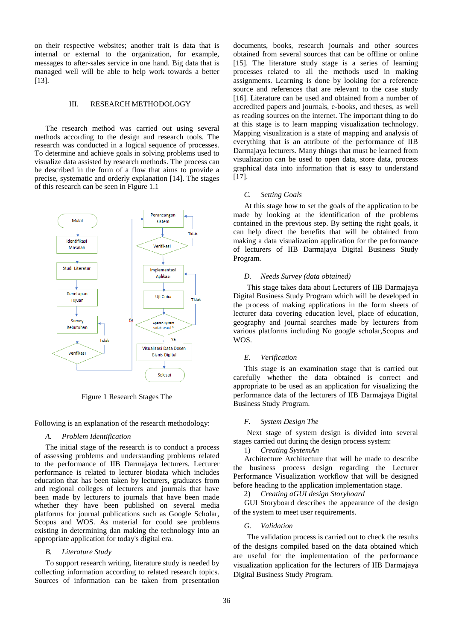on their respective websites; another trait is data that is internal or external to the organization, for example, messages to after-sales service in one hand. Big data that is managed well will be able to help work towards a better [13].

## III. RESEARCH METHODOLOGY

The research method was carried out using several methods according to the design and research tools. The research was conducted in a logical sequence of processes. To determine and achieve goals in solving problems used to visualize data assisted by research methods. The process can be described in the form of a flow that aims to provide a precise, systematic and orderly explanation [14]. The stages of this research can be seen in Figure 1.1



Figure 1 Research Stages The

Following is an explanation of the research methodology:

## *A. Problem Identification*

The initial stage of the research is to conduct a process of assessing problems and understanding problems related to the performance of IIB Darmajaya lecturers. Lecturer performance is related to lecturer biodata which includes education that has been taken by lecturers, graduates from and regional colleges of lecturers and journals that have been made by lecturers to journals that have been made whether they have been published on several media platforms for journal publications such as Google Scholar, Scopus and WOS. As material for could see problems existing in determining dan making the technology into an appropriate application for today's digital era.

## *B. Literature Study*

To support research writing, literature study is needed by collecting information according to related research topics. Sources of information can be taken from presentation

documents, books, research journals and other sources obtained from several sources that can be offline or online [15]. The literature study stage is a series of learning processes related to all the methods used in making assignments. Learning is done by looking for a reference source and references that are relevant to the case study [16]. Literature can be used and obtained from a number of accredited papers and journals, e-books, and theses, as well as reading sources on the internet. The important thing to do at this stage is to learn mapping visualization technology. Mapping visualization is a state of mapping and analysis of everything that is an attribute of the performance of IIB Darmajaya lecturers. Many things that must be learned from visualization can be used to open data, store data, process graphical data into information that is easy to understand [17].

## *C. Setting Goals*

At this stage how to set the goals of the application to be made by looking at the identification of the problems contained in the previous step. By setting the right goals, it can help direct the benefits that will be obtained from making a data visualization application for the performance of lecturers of IIB Darmajaya Digital Business Study Program.

#### *D. Needs Survey (data obtained)*

This stage takes data about Lecturers of IIB Darmajaya Digital Business Study Program which will be developed in the process of making applications in the form sheets of lecturer data covering education level, place of education, geography and journal searches made by lecturers from various platforms including No google scholar,Scopus and WOS.

#### *E. Verification*

This stage is an examination stage that is carried out carefully whether the data obtained is correct and appropriate to be used as an application for visualizing the performance data of the lecturers of IIB Darmajaya Digital Business Study Program.

#### *F. System Design The*

Next stage of system design is divided into several stages carried out during the design process system:

1) *Creating SystemAn* 

Architecture Architecture that will be made to describe the business process design regarding the Lecturer Performance Visualization workflow that will be designed before heading to the application implementation stage.

2) *Creating aGUI design Storyboard*

GUI Storyboard describes the appearance of the design of the system to meet user requirements.

## *G. Validation*

The validation process is carried out to check the results of the designs compiled based on the data obtained which are useful for the implementation of the performance visualization application for the lecturers of IIB Darmajaya Digital Business Study Program.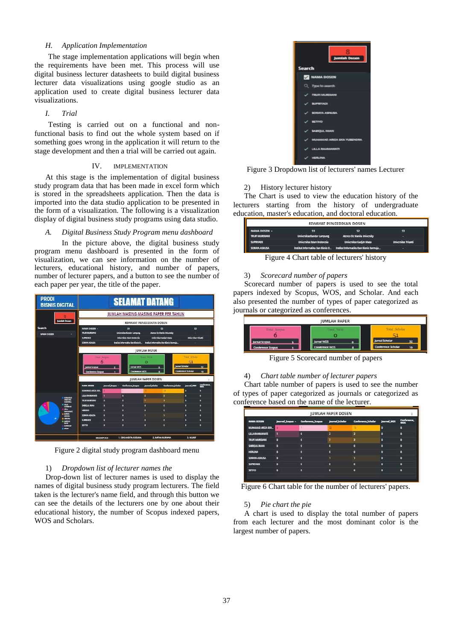## *H. Application Implementation*

The stage implementation applications will begin when the requirements have been met. This process will use digital business lecturer datasheets to build digital business lecturer data visualizations using google studio as an application used to create digital business lecturer data visualizations.

## *I. Trial*

Testing is carried out on a functional and nonfunctional basis to find out the whole system based on if something goes wrong in the application it will return to the stage development and then a trial will be carried out again.

## IV. IMPLEMENTATION

At this stage is the implementation of digital business study program data that has been made in excel form which is stored in the spreadsheets application. Then the data is imported into the data studio application to be presented in the form of a visualization. The following is a visualization display of digital business study programs using data studio.

## *A. Digital Business Study Program menu dashboard*

In the picture above, the digital business study program menu dashboard is presented in the form of visualization, we can see information on the number of lecturers, educational history, and number of papers, number of lecturer papers, and a button to see the number of each paper per year, the title of the paper.



Figure 2 digital study program dashboard menu

## 1) *Dropdown list of lecturer names the*

Drop-down list of lecturer names is used to display the names of digital business study program lecturers. The field taken is the lecturer's name field, and through this button we can see the details of the lecturers one by one about their educational history, the number of Scopus indexed papers, WOS and Scholars.

| Jumlah Dosen                 |
|------------------------------|
| Search                       |
| <b>NAMA DOSEN</b>            |
| Q Type to search             |
| TRUE MURDIANI                |
| <b>BUPRIYADI</b>             |
| <b>KORAKYA ASPAUSA</b>       |
| SKIND<br>✓                   |
| SABICILE, INAAN<br>✓         |
| <b>MAMAZI AREZA EKA YUSE</b> |
| <b><i>RALEMANYON'S</i></b>   |
| <b>CRLINA</b>                |

Figure 3 Dropdown list of lecturers' names Lecturer

## 2) History lecturer history

The Chart is used to view the education history of the lecturers starting from the history of undergraduate education, master's education, and doctoral education.

| <b>NAMA DOSEN -</b><br>$\mathbf{a}$<br>S1<br>Ð<br>Atonco Dc Manila University<br>Universitas Bandar Lampung<br>TRUFI MURDIANII<br>Universitas Gadiah Mada<br>Universitas Islam Indonesia<br><b>Hourreits Tricaldi</b><br><b>SUPERVADE</b> | RIWAYAT PENDIDIKAN DOSEN |  |  |  |  |  |  |  |
|-------------------------------------------------------------------------------------------------------------------------------------------------------------------------------------------------------------------------------------------|--------------------------|--|--|--|--|--|--|--|
|                                                                                                                                                                                                                                           |                          |  |  |  |  |  |  |  |
|                                                                                                                                                                                                                                           |                          |  |  |  |  |  |  |  |
|                                                                                                                                                                                                                                           |                          |  |  |  |  |  |  |  |
| Institut Informatika Dan Bisnis D., Institut Informatika Dan Bisnis Danmaia<br>۰                                                                                                                                                          | SDRAVA ASNUSA            |  |  |  |  |  |  |  |

Figure 4 Chart table of lecturers' history

## 3) *Scorecard number of papers*

Scorecard number of papers is used to see the total papers indexed by Scopus, WOS, and Scholar. And each also presented the number of types of paper categorized as journals or categorized as conferences.



Figure 5 Scorecard number of papers

## 4) *Chart table number of lecturer papers*

Chart table number of papers is used to see the number of types of paper categorized as journals or categorized as conference based on the name of the lecturer.

| <b>JUMLAH PAPER DOSEN</b> |                       |                          |                 |                    |                    |                    |
|---------------------------|-----------------------|--------------------------|-----------------|--------------------|--------------------|--------------------|
| <b>NAMA DOSEN</b>         | <b>Inurral Scopes</b> | <b>Canforence Scapes</b> | journal Scholar | Conference Scholar | <b>Journal WOS</b> | Conference,<br>WOS |
| MUNAMAD ARTZA EKA.        |                       |                          |                 |                    |                    |                    |
| <b>LILLA RAHMANIATI</b>   |                       |                          |                 |                    |                    |                    |
| TRUFT MURDSANE            |                       |                          |                 |                    |                    |                    |
| SABIQUL BAMI              |                       |                          |                 |                    |                    |                    |
| <b>HERLINA</b>            |                       |                          |                 |                    |                    |                    |
| SORAVA ASHUSA             |                       |                          |                 |                    |                    |                    |
| <b>SUPEIYADI</b>          |                       |                          |                 |                    |                    |                    |
| SETTIO                    |                       |                          |                 |                    |                    |                    |

Figure 6 Chart table for the number of lecturers' papers.

## 5) *Pie chart the pie*

A chart is used to display the total number of papers from each lecturer and the most dominant color is the largest number of papers.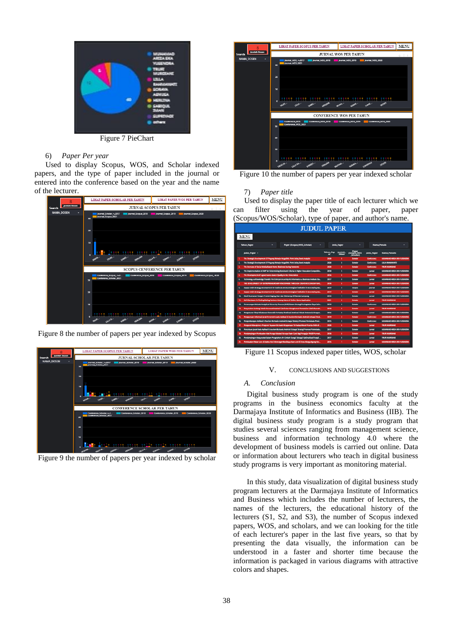

Figure 7 PieChart

# 6) *Paper Per year*

Used to display Scopus, WOS, and Scholar indexed papers, and the type of paper included in the journal or entered into the conference based on the year and the name of the lecturer.



Figure 8 the number of papers per year indexed by Scopus



Figure 9 the number of papers per year indexed by scholar

| $\mathbf{8}$                  | MENU<br>LIHAT PAPER SCOPUS PER TAHUN<br>LIHAT PAPER SCHOLAR PER TAHUN                                            |  |  |  |  |
|-------------------------------|------------------------------------------------------------------------------------------------------------------|--|--|--|--|
| <b>Jumlah Dosen</b><br>Search | <b>JURNAL WOS PER TAHUN</b><br>ŘΣ.                                                                               |  |  |  |  |
| <b>NAMA DOSEN</b><br>٠        | Journal WOS_<= 2017<br>Iournal WOS 2018<br>Journal_WOS_2019<br>lournal WOS 2020                                  |  |  |  |  |
|                               | Iournal WOS 2021<br>30                                                                                           |  |  |  |  |
|                               | 20                                                                                                               |  |  |  |  |
|                               | 10                                                                                                               |  |  |  |  |
|                               | ٠<br>Emo<br><b>EMB</b><br><b>SAFS</b>                                                                            |  |  |  |  |
|                               | <b>CONFERENCE WOS PER TAHUN</b>                                                                                  |  |  |  |  |
|                               | Conference WOS<br>Conference WOS 2018<br>Conference WOS 2019<br>Conference WOS 2020<br>Conference WOS 2021<br>30 |  |  |  |  |
|                               | 20                                                                                                               |  |  |  |  |
|                               | 10<br>요즘 일을 이렇게 이렇게 이렇게 이렇게 이렇게 이렇게 이렇게 없어. 이렇게 이렇게 없어요?                                                         |  |  |  |  |
|                               | Ganco<br><b>CENTER</b><br>ELECTRO<br>TRUFIN-<br><b>URLARA</b>                                                    |  |  |  |  |

Figure 10 the number of papers per year indexed scholar

## 7) *Paper title*

Used to display the paper title of each lecturer which we can filter using the year of paper, paper (Scopus/WOS/Scholar), type of paper, and author's name.

| <b>JUDUL PAPER</b> |                                                                                    |                                                                                                 |             |                         |                                           |                    |                                                 |
|--------------------|------------------------------------------------------------------------------------|-------------------------------------------------------------------------------------------------|-------------|-------------------------|-------------------------------------------|--------------------|-------------------------------------------------|
|                    | MENU                                                                               |                                                                                                 |             |                         |                                           |                    |                                                 |
|                    | Tahun Paper                                                                        | <b>Paper (Scopus, WOS, Scholar)</b>                                                             | Jenis Paper |                         |                                           | <b>Nama Penula</b> |                                                 |
|                    | Judul Paper -                                                                      |                                                                                                 |             | hamilah<br><b>GRANT</b> | <b><i>Clement WOS</i></b><br><b>STATE</b> | <b>Jenis Paper</b> | <b>Nama Penulis</b>                             |
| ٠                  | The Strategic Development Of Pugung Rahario Megalithic Park Uning Swot Analysis    |                                                                                                 | 2020        | ٠                       | <b>Scholar</b>                            | <b>Conference</b>  | <b><i>MERGEARD ARENA EXA VEHICLES</i></b>       |
| a                  | The Strategic Dovelopment Of Pugung Raharjo Mcgalithic Park Using Swot Analysis    |                                                                                                 | 2020        | ٠                       | Scholar                                   | Conference         | LILLA BAHMANATI                                 |
| ٠                  | The Increase of Social Metica Rased Home Business During Pandemic                  |                                                                                                 | 2020        | ٠                       | Scholar                                   | <b>Confessor</b>   | THE HIS SIL MITSUALE                            |
| ٠                  |                                                                                    | The Implementation of AMP for Determining Dominant Chiteria in Higher Education Competitiv.     | 2018        | ь                       | Scholar                                   | <b>Jumai</b>       | MUNNANO AREZA EKA YUSENDRA                      |
| s                  | The Development of E-governance-baned Quality in the Universities                  |                                                                                                 | 2014        | ٠                       | Scholar                                   | <b>Confirmere</b>  | <b>MEDICALIST ARETA EXA VERENCIA</b>            |
| ٠                  |                                                                                    | Transmiser a Khawkidge Transfer For Entrepreneurship At Information a Business Institute Da     | 2017        | п                       | Scholar                                   | <b>Summer</b>      | MUNICIPALISM AREEN EXIX VENETICALS              |
| Ŧ.                 |                                                                                    | THE DEVELOPMENT OF ENTREPRENEURSHIP ATMOSPHERE THROUGH CREATIVE ECONOMY BAS                     | 2018        | ٠                       | Scholar                                   | <b>human</b>       | MUNINANO AREZA EKA YUSENDRA                     |
| п                  |                                                                                    | Supply chain strategy dovelnessend for business and technological institution in developing sta | 2019        | п                       | Screen                                    | <b>Journal</b>     | MERGINANO AREZA EKA VENETACINA                  |
| ٠                  |                                                                                    | Supply chain strategy development for business and technological institution in developing sta  | 2019        | ٠                       | Scholar                                   | <b>Summar</b>      | <b>MUNIMUMO AREEA EKA YUSEIKERA</b>             |
| m                  | Studi Kitamanan Pangan Produk Daging, Ikan dan Olahannya Di Bandar Lampung         |                                                                                                 | 2016        | ٠                       | Scholar                                   | <b>kemai</b>       | MENUMERO AREEA EKA VENETICINA                   |
| n                  | Scil-Disclosure in Finding Balling Partners Among Users of Online Game Application |                                                                                                 | 2025        | ٠                       | Scholar                                   | <b>Sumps</b>       | TRUR MURCEAN                                    |
| $\overline{12}$    |                                                                                    | Perancangan Mclode Analytical Hierarchy Process (AHP) Dalam Strategi Peningkatan Daya Sain      | 2019        | ٠                       | Scholar                                   | Conference         | MERGEARD AREN EKS VERENCES                      |
| n                  |                                                                                    | Penyakahan terdarat Teknik Merawat Instalasi Listrik dan Menahemat Pemakaian Listrik Rumah      | 2018        | ٠                       | Scholar                                   | <b>human</b>       | <b>TRUR MURCEAM</b>                             |
| м                  |                                                                                    | Pengukuran Sikup Wisatawan Domestik Terhadap Destinasi-destinasi Wisata Indonesia Dengan        | 2016        | п                       | Scholar                                   | <b>Jumps</b>       | <b>MERGHARD ARESA EKS VENTISORA</b>             |
| 15.                |                                                                                    | Penggunaan Informasi Jarak Terpendek pada Aplikasi E. Tourism Berhasis Android sebagai Strat    | 2019        | ٠                       | Scholar                                   | Conference         | <b>MUNICIPALISTS ARESTA END. YESTER TECHNIC</b> |
| ×                  |                                                                                    | Rosgombangan Aplikasi E-Touriom Borbasis Android Schapai Strategi Promosi Parisiicata Provi     | 2015        | п                       | Scholar                                   | <b>CONTEXEREE</b>  | MUNNANO AREEA DOLVUSIVORA                       |
| 12                 |                                                                                    | Penganuh Manujemen Program Vavagan Berbasis Keapamuan Terhadap Moral Penerta Didik di           | 3838        | ٠                       | Scholar                                   | <b>humud</b>       | TRUR MURDEAM                                    |
| и                  |                                                                                    | Penentuan Jarak Pada Aplikasi E-teurism Berhasis Android Schapai Strategi Promosi Pariwisata.   | 2017        | ٠                       | Scholar                                   | <b>Army</b>        | MUNNANO AREZA DIA VUSENDRA                      |
| 19.                |                                                                                    | Pontampingan Pontsultan Alat Poraga Edukasi Boruga Pasti Card Bagi Porgajar PAUD Pormat         | 2018        | ٠                       | Schoolar                                  | <b>Summar</b>      | TRUR MURCEAN                                    |
| $\mathbf{z}$       |                                                                                    | Pendampingan Masyarakat Dalam Pengolahan Air Limbah Sungai Sebagai Optimalisasi Pungsi          | 2017        | ٠                       | <b>Scholar</b>                            | <b>Juma</b>        | TRUST BE STEAM                                  |
| 21.                |                                                                                    | Pembuatan Palun Lele di Utaha Kecil Menengah Budidaya Ban Lele Di Desa Marga Agung Ker          | 2015        |                         | Scholar                                   | <b>Summar</b>      | <b><i>MILINGHAMO ABEZA ENG. VLYSENCHA</i></b>   |
|                    |                                                                                    |                                                                                                 |             |                         |                                           |                    |                                                 |

Figure 11 Scopus indexed paper titles, WOS, scholar

## V. CONCLUSIONS AND SUGGESTIONS

## *A. Conclusion*

Digital business study program is one of the study programs in the business economics faculty at the Darmajaya Institute of Informatics and Business (IIB). The digital business study program is a study program that studies several sciences ranging from management science, business and information technology 4.0 where the development of business models is carried out online. Data or information about lecturers who teach in digital business study programs is very important as monitoring material.

In this study, data visualization of digital business study program lecturers at the Darmajaya Institute of Informatics and Business which includes the number of lecturers, the names of the lecturers, the educational history of the lecturers (S1, S2, and S3), the number of Scopus indexed papers, WOS, and scholars, and we can looking for the title of each lecturer's paper in the last five years, so that by presenting the data visually, the information can be understood in a faster and shorter time because the information is packaged in various diagrams with attractive colors and shapes.